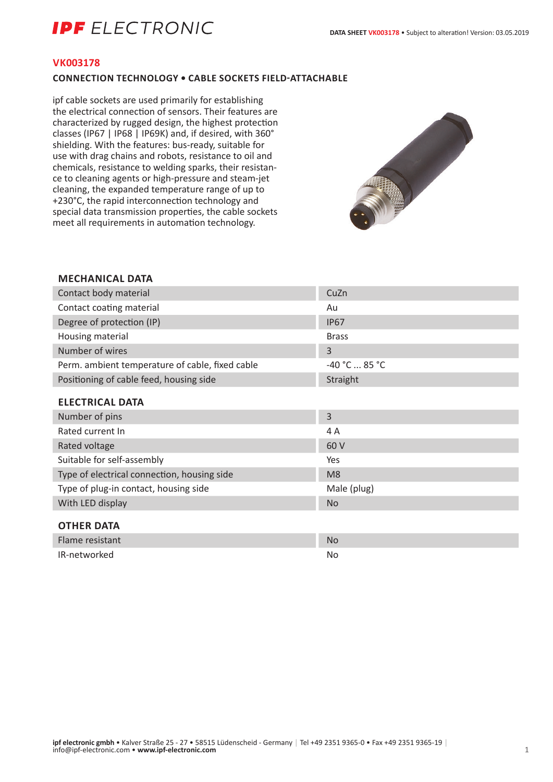# **IPF** ELECTRONIC

#### **VK003178**

## **CONNECTION TECHNOLOGY • CABLE SOCKETS FIELD-ATTACHABLE**

ipf cable sockets are used primarily for establishing the electrical connection of sensors. Their features are characterized by rugged design, the highest protection classes (IP67 | IP68 | IP69K) and, if desired, with 360° shielding. With the features: bus-ready, suitable for use with drag chains and robots, resistance to oil and chemicals, resistance to welding sparks, their resistance to cleaning agents or high-pressure and steam-jet cleaning, the expanded temperature range of up to +230°C, the rapid interconnection technology and special data transmission properties, the cable sockets meet all requirements in automation technology.



# **MECHANICAL DATA**

| Contact body material                           | CuZn            |
|-------------------------------------------------|-----------------|
| Contact coating material                        | Au              |
| Degree of protection (IP)                       | <b>IP67</b>     |
| Housing material                                | <b>Brass</b>    |
| Number of wires                                 | 3               |
| Perm. ambient temperature of cable, fixed cable | $-40 °C  85 °C$ |
| Positioning of cable feed, housing side         | Straight        |
| <b>ELECTRICAL DATA</b>                          |                 |
| Number of pins                                  | $\overline{3}$  |
| Rated current In                                | 4 A             |
| Rated voltage                                   | 60 V            |
| Suitable for self-assembly                      | Yes             |
| Type of electrical connection, housing side     | M <sub>8</sub>  |
| Type of plug-in contact, housing side           | Male (plug)     |
| With LED display                                | <b>No</b>       |
| <b>OTHER DATA</b>                               |                 |
| Flame resistant                                 | <b>No</b>       |
| IR-networked                                    | No.             |